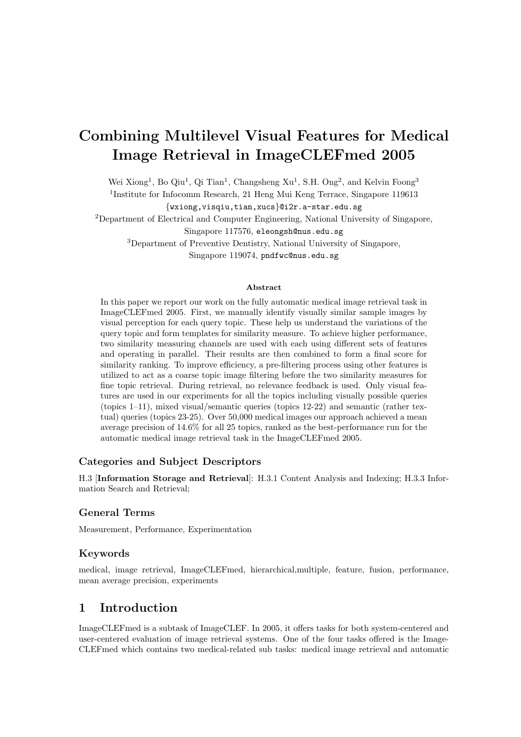# Combining Multilevel Visual Features for Medical Image Retrieval in ImageCLEFmed 2005

Wei Xiong<sup>1</sup>, Bo Qiu<sup>1</sup>, Qi Tian<sup>1</sup>, Changsheng Xu<sup>1</sup>, S.H. Ong<sup>2</sup>, and Kelvin Foong<sup>3</sup>

<sup>1</sup>Institute for Infocomm Research, 21 Heng Mui Keng Terrace, Singapore 119613

{wxiong,visqiu,tian,xucs}@i2r.a-star.edu.sg

<sup>2</sup>Department of Electrical and Computer Engineering, National University of Singapore,

Singapore 117576, eleongsh@nus.edu.sg

<sup>3</sup>Department of Preventive Dentistry, National University of Singapore,

Singapore 119074, pndfwc@nus.edu.sg

#### Abstract

In this paper we report our work on the fully automatic medical image retrieval task in ImageCLEFmed 2005. First, we manually identify visually similar sample images by visual perception for each query topic. These help us understand the variations of the query topic and form templates for similarity measure. To achieve higher performance, two similarity measuring channels are used with each using different sets of features and operating in parallel. Their results are then combined to form a final score for similarity ranking. To improve efficiency, a pre-filtering process using other features is utilized to act as a coarse topic image filtering before the two similarity measures for fine topic retrieval. During retrieval, no relevance feedback is used. Only visual features are used in our experiments for all the topics including visually possible queries (topics 1–11), mixed visual/semantic queries (topics 12-22) and semantic (rather textual) queries (topics 23-25). Over 50,000 medical images our approach achieved a mean average precision of 14.6% for all 25 topics, ranked as the best-performance run for the automatic medical image retrieval task in the ImageCLEFmed 2005.

#### Categories and Subject Descriptors

H.3 [Information Storage and Retrieval]: H.3.1 Content Analysis and Indexing; H.3.3 Information Search and Retrieval;

#### General Terms

Measurement, Performance, Experimentation

#### Keywords

medical, image retrieval, ImageCLEFmed, hierarchical,multiple, feature, fusion, performance, mean average precision, experiments

## 1 Introduction

ImageCLEFmed is a subtask of ImageCLEF. In 2005, it offers tasks for both system-centered and user-centered evaluation of image retrieval systems. One of the four tasks offered is the Image-CLEFmed which contains two medical-related sub tasks: medical image retrieval and automatic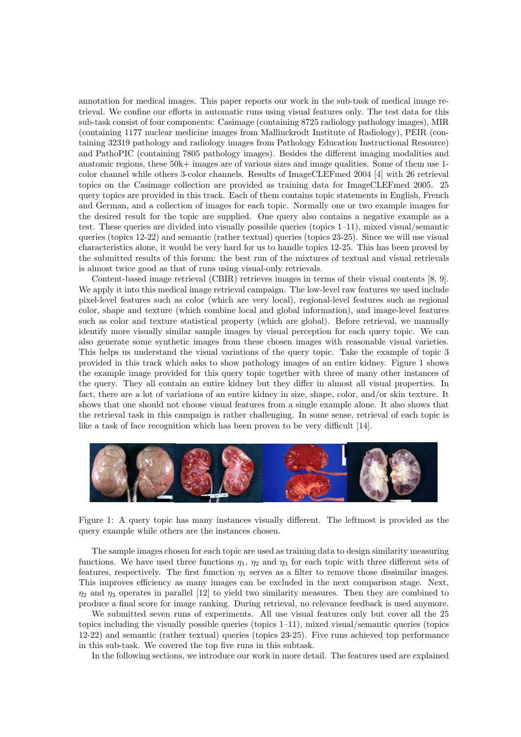annotation for medical images. This paper reports our work in the sub-task of medical image retrieval. We confine our efforts in automatic runs using visual features only. The test data for this sub-task consist of four components: Casimage (containing 8725 radiology pathology images), MIR (containing 1177 nuclear medicine images from Mallinckrodt Institute of Radiology), PEIR (containing 32319 pathology and radiology images from Pathology Education Instructional Resource) and PathoPIC (containing 7805 pathology images). Besides the different imaging modalities and anatomic regions, these 50k+ images are of various sizes and image qualities. Some of them use 1 color channel while others 3-color channels. Results of ImageCLEFmed 2004 [4] with 26 retrieval topics on the Casimage collection are provided as training data for ImageCLEFmed 2005. 25 query topics are provided in this track. Each of them contains topic statements in English, French and German, and a collection of images for each topic. Normally one or two example images for the desired result for the topic are supplied. One query also contains a negative example as a test. These queries are divided into visually possible queries (topics 1–11), mixed visual/semantic queries (topics 12-22) and semantic (rather textual) queries (topics 23-25). Since we will use visual characteristics alone, it would be very hard for us to handle topics 12-25. This has been proved by the submitted results of this forum: the best run of the mixtures of textual and visual retrievals is almost twice good as that of runs using visual-only retrievals.

Content-based image retrieval (CBIR) retrieves images in terms of their visual contents [8, 9]. We apply it into this medical image retrieval campaign. The low-level raw features we used include pixel-level features such as color (which are very local), regional-level features such as regional color, shape and texture (which combine local and global information), and image-level features such as color and texture statistical property (which are global). Before retrieval, we manually identify more visually similar sample images by visual perception for each query topic. We can also generate some synthetic images from these chosen images with reasonable visual varieties. This helps us understand the visual variations of the query topic. Take the example of topic 3 provided in this track which asks to show pathology images of an entire kidney. Figure 1 shows the example image provided for this query topic together with three of many other instances of the query. They all contain an entire kidney but they differ in almost all visual properties. In fact, there are a lot of variations of an entire kidney in size, shape, color, and/or skin texture. It shows that one should not choose visual features from a single example alone. It also shows that the retrieval task in this campaign is rather challenging. In some sense, retrieval of each topic is like a task of face recognition which has been proven to be very difficult [14].



Figure 1: A query topic has many instances visually different. The leftmost is provided as the query example while others are the instances chosen.

The sample images chosen for each topic are used as training data to design similarity measuring functions. We have used three functions  $\eta_1$ ,  $\eta_2$  and  $\eta_3$  for each topic with three different sets of features, respectively. The first function  $\eta_1$  serves as a filter to remove those dissimilar images. This improves efficiency as many images can be excluded in the next comparison stage. Next,  $\eta_2$  and  $\eta_3$  operates in parallel [12] to yield two similarity measures. Then they are combined to produce a final score for image ranking. During retrieval, no relevance feedback is used anymore.

We submitted seven runs of experiments. All use visual features only but cover all the 25 topics including the visually possible queries (topics 1–11), mixed visual/semantic queries (topics 12-22) and semantic (rather textual) queries (topics 23-25). Five runs achieved top performance in this sub-task. We covered the top five runs in this subtask.

In the following sections, we introduce our work in more detail. The features used are explained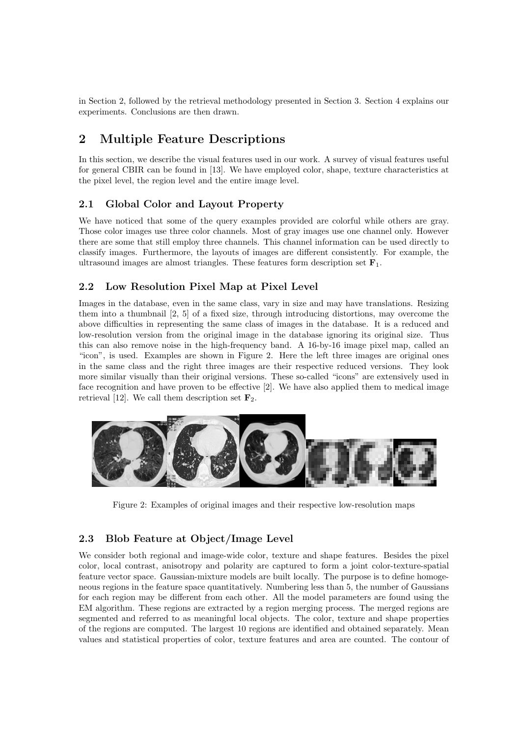in Section 2, followed by the retrieval methodology presented in Section 3. Section 4 explains our experiments. Conclusions are then drawn.

## 2 Multiple Feature Descriptions

In this section, we describe the visual features used in our work. A survey of visual features useful for general CBIR can be found in [13]. We have employed color, shape, texture characteristics at the pixel level, the region level and the entire image level.

### 2.1 Global Color and Layout Property

We have noticed that some of the query examples provided are colorful while others are gray. Those color images use three color channels. Most of gray images use one channel only. However there are some that still employ three channels. This channel information can be used directly to classify images. Furthermore, the layouts of images are different consistently. For example, the ultrasound images are almost triangles. These features form description set  $\mathbf{F}_1$ .

#### 2.2 Low Resolution Pixel Map at Pixel Level

Images in the database, even in the same class, vary in size and may have translations. Resizing them into a thumbnail [2, 5] of a fixed size, through introducing distortions, may overcome the above difficulties in representing the same class of images in the database. It is a reduced and low-resolution version from the original image in the database ignoring its original size. Thus this can also remove noise in the high-frequency band. A 16-by-16 image pixel map, called an "icon", is used. Examples are shown in Figure 2. Here the left three images are original ones in the same class and the right three images are their respective reduced versions. They look more similar visually than their original versions. These so-called "icons" are extensively used in face recognition and have proven to be effective [2]. We have also applied them to medical image retrieval [12]. We call them description set  $\mathbf{F}_2$ .



Figure 2: Examples of original images and their respective low-resolution maps

## 2.3 Blob Feature at Object/Image Level

We consider both regional and image-wide color, texture and shape features. Besides the pixel color, local contrast, anisotropy and polarity are captured to form a joint color-texture-spatial feature vector space. Gaussian-mixture models are built locally. The purpose is to define homogeneous regions in the feature space quantitatively. Numbering less than 5, the number of Gaussians for each region may be different from each other. All the model parameters are found using the EM algorithm. These regions are extracted by a region merging process. The merged regions are segmented and referred to as meaningful local objects. The color, texture and shape properties of the regions are computed. The largest 10 regions are identified and obtained separately. Mean values and statistical properties of color, texture features and area are counted. The contour of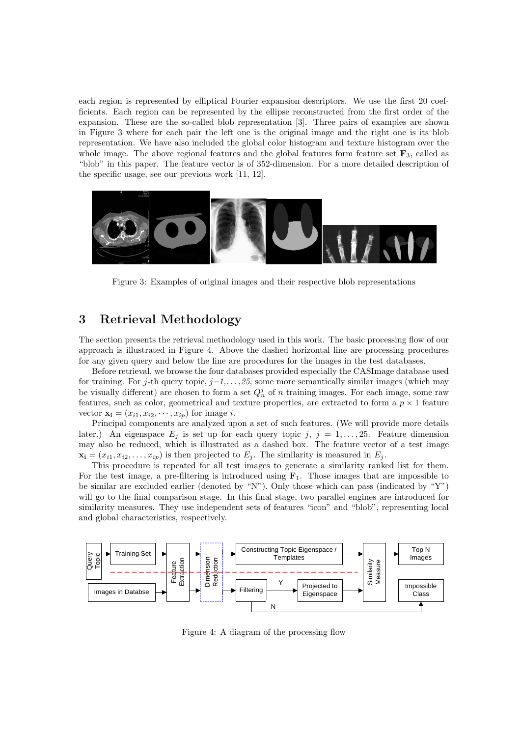each region is represented by elliptical Fourier expansion descriptors. We use the first 20 coefficients. Each region can be represented by the ellipse reconstructed from the first order of the expansion. These are the so-called blob representation [3]. Three pairs of examples are shown in Figure 3 where for each pair the left one is the original image and the right one is its blob representation. We have also included the global color histogram and texture histogram over the whole image. The above regional features and the global features form feature set  $\mathbf{F}_3$ , called as "blob" in this paper. The feature vector is of 352-dimension. For a more detailed description of the specific usage, see our previous work [11, 12].



Figure 3: Examples of original images and their respective blob representations

### 3 Retrieval Methodology

The section presents the retrieval methodology used in this work. The basic processing flow of our approach is illustrated in Figure 4. Above the dashed horizontal line are processing procedures for any given query and below the line are procedures for the images in the test databases.

Before retrieval, we browse the four databases provided especially the CASImage database used for training. For j-th query topic,  $j=1,\ldots,25$ , some more semantically similar images (which may be visually different) are chosen to form a set  $Q_n^j$  of n training images. For each image, some raw features, such as color, geometrical and texture properties, are extracted to form a  $p \times 1$  feature vector  $\mathbf{x_i} = (x_{i1}, x_{i2}, \dots, x_{ip})$  for image *i*.

Principal components are analyzed upon a set of such features. (We will provide more details later.) An eigenspace  $E_j$  is set up for each query topic j,  $j = 1, \ldots, 25$ . Feature dimension may also be reduced, which is illustrated as a dashed box. The feature vector of a test image  $\mathbf{x_i} = (x_{i1}, x_{i2}, \dots, x_{ip})$  is then projected to  $E_j$ . The similarity is measured in  $E_j$ .

This procedure is repeated for all test images to generate a similarity ranked list for them. For the test image, a pre-filtering is introduced using  $\mathbf{F}_1$ . Those images that are impossible to be similar are excluded earlier (denoted by "N"). Only those which can pass (indicated by "Y") will go to the final comparison stage. In this final stage, two parallel engines are introduced for similarity measures. They use independent sets of features "icon" and "blob", representing local and global characteristics, respectively.



Figure 4: A diagram of the processing flow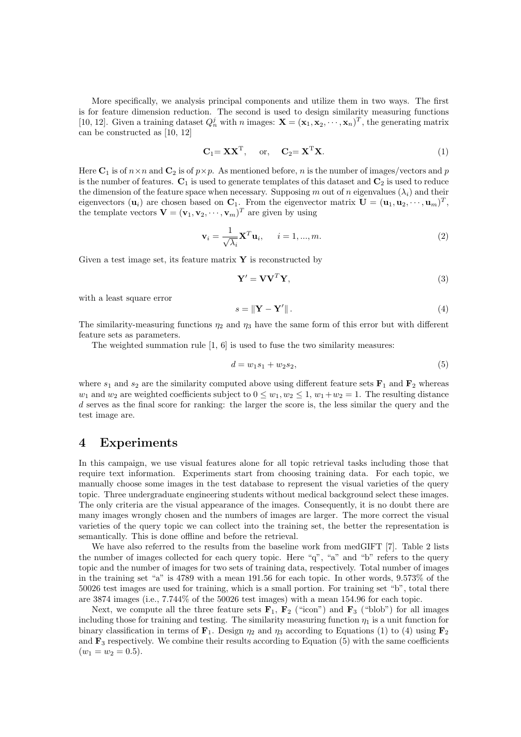More specifically, we analysis principal components and utilize them in two ways. The first is for feature dimension reduction. The second is used to design similarity measuring functions [10, 12]. Given a training dataset  $Q_n^j$  with n images:  $\mathbf{X} = (\mathbf{x}_1, \mathbf{x}_2, \dots, \mathbf{x}_n)^T$ , the generating matrix can be constructed as [10, 12]

$$
\mathbf{C}_1 = \mathbf{X} \mathbf{X}^{\mathrm{T}}, \quad \text{or,} \quad \mathbf{C}_2 = \mathbf{X}^{\mathrm{T}} \mathbf{X}.
$$
 (1)

Here  $\mathbf{C}_1$  is of  $n \times n$  and  $\mathbf{C}_2$  is of  $p \times p$ . As mentioned before, n is the number of images/vectors and p is the number of features.  $C_1$  is used to generate templates of this dataset and  $C_2$  is used to reduce the dimension of the feature space when necessary. Supposing m out of n eigenvalues  $(\lambda_i)$  and their eigenvectors  $(\mathbf{u}_i)$  are chosen based on  $\mathbf{C}_1$ . From the eigenvector matrix  $\mathbf{U} = (\mathbf{u}_1, \mathbf{u}_2, \cdots, \mathbf{u}_m)^T$ , the template vectors  $\mathbf{V} = (\mathbf{v}_1, \mathbf{v}_2, \cdots, \mathbf{v}_m)^T$  are given by using

$$
\mathbf{v}_{i} = \frac{1}{\sqrt{\lambda_{i}}}\mathbf{X}^{T}\mathbf{u}_{i}, \quad i = 1, ..., m.
$$
 (2)

Given a test image set, its feature matrix  $\mathbf{Y}$  is reconstructed by

$$
\mathbf{Y}' = \mathbf{V}\mathbf{V}^T\mathbf{Y},\tag{3}
$$

with a least square error

$$
s = \|\mathbf{Y} - \mathbf{Y}'\|.\tag{4}
$$

The similarity-measuring functions  $\eta_2$  and  $\eta_3$  have the same form of this error but with different feature sets as parameters.

The weighted summation rule  $[1, 6]$  is used to fuse the two similarity measures:

$$
d = w_1 s_1 + w_2 s_2,\tag{5}
$$

where  $s_1$  and  $s_2$  are the similarity computed above using different feature sets  $\mathbf{F}_1$  and  $\mathbf{F}_2$  whereas  $w_1$  and  $w_2$  are weighted coefficients subject to  $0 \leq w_1, w_2 \leq 1, w_1+w_2=1$ . The resulting distance d serves as the final score for ranking: the larger the score is, the less similar the query and the test image are.

#### 4 Experiments

In this campaign, we use visual features alone for all topic retrieval tasks including those that require text information. Experiments start from choosing training data. For each topic, we manually choose some images in the test database to represent the visual varieties of the query topic. Three undergraduate engineering students without medical background select these images. The only criteria are the visual appearance of the images. Consequently, it is no doubt there are many images wrongly chosen and the numbers of images are larger. The more correct the visual varieties of the query topic we can collect into the training set, the better the representation is semantically. This is done offline and before the retrieval.

We have also referred to the results from the baseline work from medGIFT [7]. Table 2 lists the number of images collected for each query topic. Here "q", "a" and "b" refers to the query topic and the number of images for two sets of training data, respectively. Total number of images in the training set "a" is 4789 with a mean 191.56 for each topic. In other words, 9.573% of the 50026 test images are used for training, which is a small portion. For training set "b", total there are 3874 images (i.e., 7.744% of the 50026 test images) with a mean 154.96 for each topic.

Next, we compute all the three feature sets  $\mathbf{F}_1$ ,  $\mathbf{F}_2$  ("icon") and  $\mathbf{F}_3$  ("blob") for all images including those for training and testing. The similarity measuring function  $\eta_1$  is a unit function for binary classification in terms of  $\mathbf{F}_1$ . Design  $\eta_2$  and  $\eta_3$  according to Equations (1) to (4) using  $\mathbf{F}_2$ and  $\mathbf{F}_3$  respectively. We combine their results according to Equation (5) with the same coefficients  $(w_1 = w_2 = 0.5).$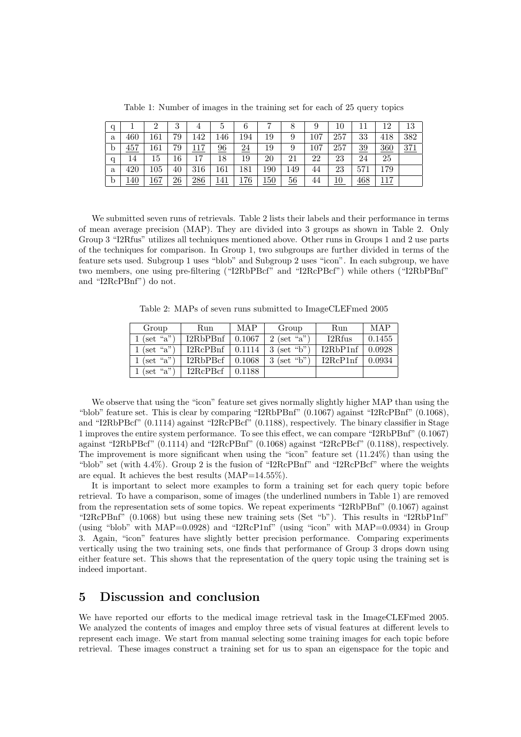| q |      |         | 3               | 4   | Ð               |     |     |                 | 9   | $10\,$ |     | 12  | 13  |
|---|------|---------|-----------------|-----|-----------------|-----|-----|-----------------|-----|--------|-----|-----|-----|
| a | 460  | 161     | 79              | 142 | 146             | 194 | 19  | 9               | 107 | 257    | 33  | 418 | 382 |
| b | 457  | 161     | 79              | 7   | $\overline{96}$ | 24  | 19  | 9               | 107 | 257    | 39  | 360 | 371 |
| q | 14   | 15      | 16              | 17  | 18              | 19  | 20  | 21              | 22  | 23     | 24  | 25  |     |
| a | 420  | $105\,$ | 40              | 316 | 161             | 181 | 190 | 149             | 44  | 23     | 571 | 179 |     |
| b | l 40 | 167     | $\overline{26}$ | 286 | 141             | 176 | 150 | $\overline{56}$ | 44  | 10     | 468 | 117 |     |

Table 1: Number of images in the training set for each of 25 query topics

We submitted seven runs of retrievals. Table 2 lists their labels and their performance in terms of mean average precision (MAP). They are divided into 3 groups as shown in Table 2. Only Group 3 "I2Rfus" utilizes all techniques mentioned above. Other runs in Groups 1 and 2 use parts of the techniques for comparison. In Group 1, two subgroups are further divided in terms of the feature sets used. Subgroup 1 uses "blob" and Subgroup 2 uses "icon". In each subgroup, we have two members, one using pre-filtering ("I2RbPBcf" and "I2RcPBcf") while others ("I2RbPBnf" and "I2RcPBnf") do not.

Table 2: MAPs of seven runs submitted to ImageCLEFmed 2005

| Group              | Run      | <b>MAP</b> | Group         | Run      | MAP    |
|--------------------|----------|------------|---------------|----------|--------|
| 1 (set "a")        | I2RbPBnf | 0.1067     | $2$ (set "a") | I2Rfus   | 0.1455 |
| 1 (set "a")        | 12RcPBnf | 0.1114     | $3$ (set "b") | I2RbP1nf | 0.0928 |
| 1 (set "a")        | I2RbPBcf | 0.1068     | $3$ (set "b") | 12RcP1nf | 0.0934 |
| $(\text{set "a")}$ | I2RcPBcf | 0.1188     |               |          |        |

We observe that using the "icon" feature set gives normally slightly higher MAP than using the "blob" feature set. This is clear by comparing "I2RbPBnf" (0.1067) against "I2RcPBnf" (0.1068), and "I2RbPBcf" (0.1114) against "I2RcPBcf" (0.1188), respectively. The binary classifier in Stage 1 improves the entire system performance. To see this effect, we can compare "I2RbPBnf" (0.1067) against "I2RbPBcf" (0.1114) and "I2RcPBnf" (0.1068) against "I2RcPBcf" (0.1188), respectively. The improvement is more significant when using the "icon" feature set (11.24%) than using the "blob" set (with 4.4%). Group 2 is the fusion of "I2RcPBnf" and "I2RcPBcf" where the weights are equal. It achieves the best results (MAP=14.55%).

It is important to select more examples to form a training set for each query topic before retrieval. To have a comparison, some of images (the underlined numbers in Table 1) are removed from the representation sets of some topics. We repeat experiments "I2RbPBnf" (0.1067) against "I2RcPBnf" (0.1068) but using these new training sets (Set "b"). This results in "I2RbP1nf" (using "blob" with MAP=0.0928) and "I2RcP1nf" (using "icon" with MAP=0.0934) in Group 3. Again, "icon" features have slightly better precision performance. Comparing experiments vertically using the two training sets, one finds that performance of Group 3 drops down using either feature set. This shows that the representation of the query topic using the training set is indeed important.

## 5 Discussion and conclusion

We have reported our efforts to the medical image retrieval task in the ImageCLEFmed 2005. We analyzed the contents of images and employ three sets of visual features at different levels to represent each image. We start from manual selecting some training images for each topic before retrieval. These images construct a training set for us to span an eigenspace for the topic and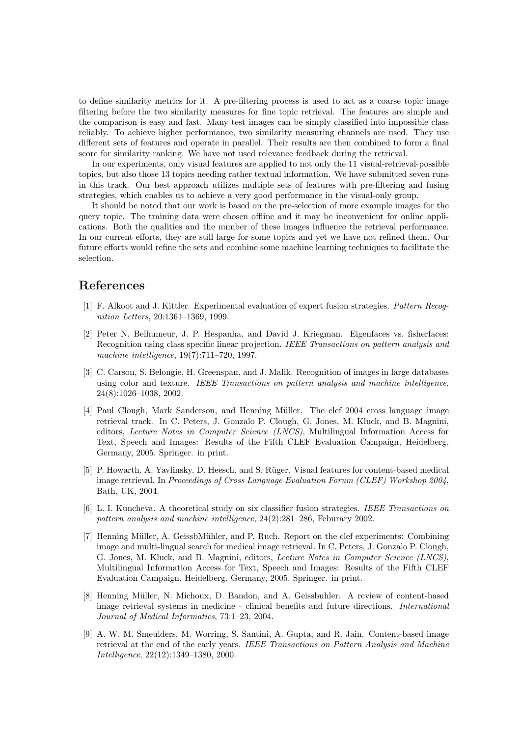to define similarity metrics for it. A pre-filtering process is used to act as a coarse topic image filtering before the two similarity measures for fine topic retrieval. The features are simple and the comparison is easy and fast. Many test images can be simply classified into impossible class reliably. To achieve higher performance, two similarity measuring channels are used. They use different sets of features and operate in parallel. Their results are then combined to form a final score for similarity ranking. We have not used relevance feedback during the retrieval.

In our experiments, only visual features are applied to not only the 11 visual-retrieval-possible topics, but also those 13 topics needing rather textual information. We have submitted seven runs in this track. Our best approach utilizes multiple sets of features with pre-filtering and fusing strategies, which enables us to achieve a very good performance in the visual-only group.

It should be noted that our work is based on the pre-selection of more example images for the query topic. The training data were chosen offline and it may be inconvenient for online applications. Both the qualities and the number of these images influence the retrieval performance. In our current efforts, they are still large for some topics and yet we have not refined them. Our future efforts would refine the sets and combine some machine learning techniques to facilitate the selection.

#### References

- [1] F. Alkoot and J. Kittler. Experimental evaluation of expert fusion strategies. Pattern Recognition Letters, 20:1361–1369, 1999.
- [2] Peter N. Belhumeur, J. P. Hespanha, and David J. Kriegman. Eigenfaces vs. fisherfaces: Recognition using class specific linear projection. IEEE Transactions on pattern analysis and machine intelligence, 19(7):711–720, 1997.
- [3] C. Carson, S. Belongie, H. Greenspan, and J. Malik. Recognition of images in large databases using color and texture. IEEE Transactions on pattern analysis and machine intelligence, 24(8):1026–1038, 2002.
- [4] Paul Clough, Mark Sanderson, and Henning Müller. The clef 2004 cross language image retrieval track. In C. Peters, J. Gonzalo P. Clough, G. Jones, M. Kluck, and B. Magnini, editors, Lecture Notes in Computer Science (LNCS), Multilingual Information Access for Text, Speech and Images: Results of the Fifth CLEF Evaluation Campaign, Heidelberg, Germany, 2005. Springer. in print.
- [5] P. Howarth, A. Yavlinsky, D. Heesch, and S. Rüger. Visual features for content-based medical image retrieval. In Proceedings of Cross Language Evaluation Forum (CLEF) Workshop 2004, Bath, UK, 2004.
- [6] L. I. Kuncheva. A theoretical study on six classifier fusion strategies. IEEE Transactions on pattern analysis and machine intelligence, 24(2):281–286, Feburary 2002.
- [7] Henning Müller, A. GeissbMühler, and P. Ruch. Report on the clef experiments: Combining image and multi-lingual search for medical image retrieval. In C. Peters, J. Gonzalo P. Clough, G. Jones, M. Kluck, and B. Magnini, editors, Lecture Notes in Computer Science (LNCS), Multilingual Information Access for Text, Speech and Images: Results of the Fifth CLEF Evaluation Campaign, Heidelberg, Germany, 2005. Springer. in print.
- [8] Henning M¨uller, N. Michoux, D. Bandon, and A. Geissbuhler. A review of content-based image retrieval systems in medicine - clinical benefits and future directions. International Journal of Medical Informatics, 73:1–23, 2004.
- [9] A. W. M. Smeulders, M. Worring, S. Santini, A. Gupta, and R. Jain. Content-based image retrieval at the end of the early years. IEEE Transactions on Pattern Analysis and Machine Intelligence, 22(12):1349–1380, 2000.